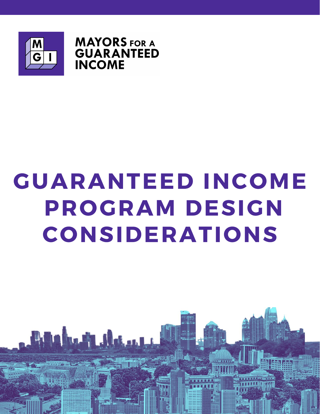

**MAYORS** FOR A **GUARANTEED INCOME** 

## GUARANTEED INCOME PROGRAM DESIGN CONSIDERATIONS

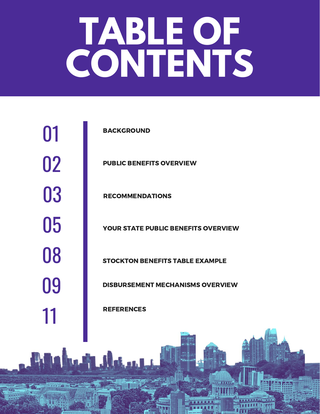# **TABLE OF CONTENTS**

**BACKGROUND** 

PUBLIC BENEFITS OVERVIEW

RECOMMENDATIONS

YOUR STATE PUBLIC BENEFITS OVERVIEW

STOCKTON BENEFITS TABLE EXAMPLE

DISBURSEMENT MECHANISMS OVERVIEW

**REFERENCES** 

<u> Mahmati shekari is</u>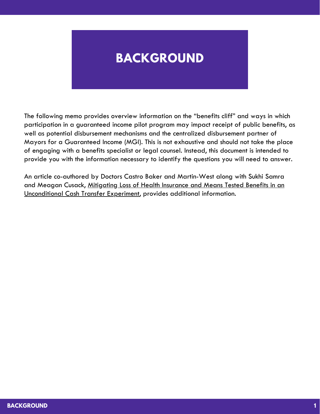## **BACKGROUND**

The following memo provides overview information on the "benefits cliff" and ways in which participation in a guaranteed income pilot program may impact receipt of public benefits, as well as potential disbursement mechanisms and the centralized disbursement partner of Mayors for a Guaranteed Income (MGI). This is not exhaustive and should not take the place of engaging with a benefits specialist or legal counsel. Instead, this document is intended to provide you with the information necessary to identify the questions you will need to answer.

An article co-authored by Doctors Castro Baker and Martin-West along with Sukhi Samra and Meagan Cusack, Mitigating Loss of Health Insurance and Means Tested Benefits in an [Unconditional](https://www.ncbi.nlm.nih.gov/pmc/articles/PMC7142678/) Cash Transfer Experiment, provides additional information.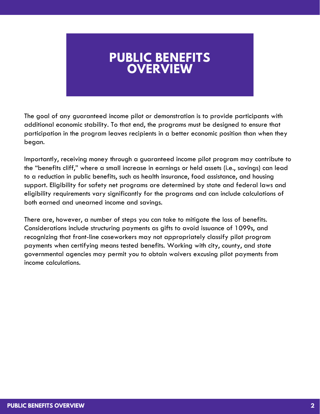## **PUBLIC BENEFITS OVERVIEW**

The goal of any guaranteed income pilot or demonstration is to provide participants with additional economic stability. To that end, the programs must be designed to ensure that participation in the program leaves recipients in a better economic position than when they began.

Importantly, receiving money through a guaranteed income pilot program may contribute to the "benefits cliff," where a small increase in earnings or held assets (i.e., savings) can lead to a reduction in public benefits, such as health insurance, food assistance, and housing support. Eligibility for safety net programs are determined by state and federal laws and eligibility requirements vary significantly for the programs and can include calculations of both earned and unearned income and savings.

There are, however, a number of steps you can take to mitigate the loss of benefits. Considerations include structuring payments as gifts to avoid issuance of 1099s, and recognizing that front-line caseworkers may not appropriately classify pilot program payments when certifying means tested benefits. Working with city, county, and state governmental agencies may permit you to obtain waivers excusing pilot payments from income calculations.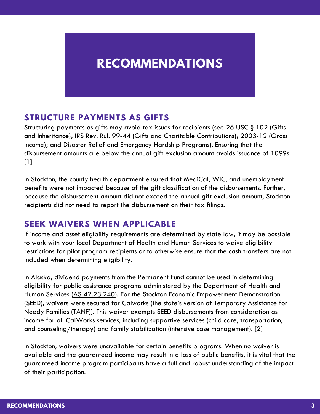## **RECOMMENDATIONS**

#### **STRUCTURE PAYMENTS AS GIFTS**

Structuring payments as gifts may avoid tax issues for recipients (see 26 USC § 102 (Gifts and Inheritance); IRS Rev. Rul. 99-44 (Gifts and Charitable Contributions); 2003-12 (Gross Income); and Disaster Relief and Emergency Hardship Programs). Ensuring that the disbursement amounts are below the annual gift exclusion amount avoids issuance of 1099s.  $[1]$ 

In Stockton, the county health department ensured that MediCal, WIC, and unemployment benefits were not impacted because of the gift classification of the disbursements. Further, because the disbursement amount did not exceed the annual gift exclusion amount, Stockton recipients did not need to report the disbursement on their tax filings.

#### **SEEK WAIVERS WHEN APPLICABLE**

If income and asset eligibility requirements are determined by state law, it may be possible to work with your local Department of Health and Human Services to waive eligibility restrictions for pilot program recipients or to otherwise ensure that the cash transfers are not included when determining eligibility.

In Alaska, dividend payments from the Permanent Fund cannot be used in determining eligibility for public assistance programs administered by the Department of Health and Human Services (AS [42.23.240\)](https://www.akleg.gov/basis/statutes.asp#43.23.240). For the Stockton Economic Empowerment Demonstration (SEED), waivers were secured for Calworks (the state's version of Temporary Assistance for Needy Families (TANF)). This waiver exempts SEED disbursements from consideration as income for all CalWorks services, including supportive services (child care, transportation, and counseling/therapy) and family stabilization (intensive case management). [2]

In Stockton, waivers were unavailable for certain benefits programs. When no waiver is available and the guaranteed income may result in a loss of public benefits, it is vital that the guaranteed income program participants have a full and robust understanding of the impact of their participation.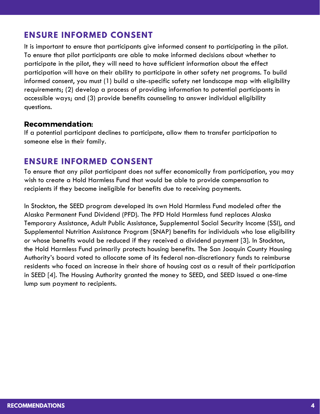#### **ENSURE INFORMED CONSENT**

participate in the pilot, they will need to have sufficient information about the effect It is important to ensure that participants give informed consent to participating in the pilot. To ensure that pilot participants are able to make informed decisions about whether to participation will have on their ability to participate in other safety net programs. To build informed consent, you must (1) build a site-specific safety net landscape map with eligibility requirements; (2) develop a process of providing information to potential participants in accessible ways; and (3) provide benefits counseling to answer individual eligibility questions.

#### Recommendation:

If a potential participant declines to participate, allow them to transfer participation to someone else in their family.

#### **ENSURE INFORMED CONSENT**

To ensure that any pilot participant does not suffer economically from participation, you may wish to create a Hold Harmless Fund that would be able to provide compensation to recipients if they become ineligible for benefits due to receiving payments.

In Stockton, the SEED program developed its own Hold Harmless Fund modeled after the Alaska Permanent Fund Dividend (PFD). The PFD Hold Harmless fund replaces Alaska Temporary Assistance, Adult Public Assistance, Supplemental Social Security Income (SSI), and Supplemental Nutrition Assistance Program (SNAP) benefits for individuals who lose eligibility or whose benefits would be reduced if they received a dividend payment [3]. In Stockton, the Hold Harmless Fund primarily protects housing benefits. The San Joaquin County Housing Authority's board voted to allocate some of its federal non-discretionary funds to reimburse residents who faced an increase in their share of housing cost as a result of their participation in SEED [4]. The Housing Authority granted the money to SEED, and SEED issued a one-time lump sum payment to recipients.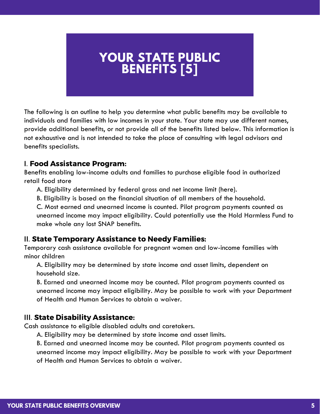## **YOUR STATE PUBLIC BENEFITS [5]**

The following is an outline to help you determine what public benefits may be available to individuals and families with low incomes in your state. Your state may use different names, provide additional benefits, or not provide all of the benefits listed below. This information is not exhaustive and is not intended to take the place of consulting with legal advisors and benefits specialists.

#### I. Food Assistance Program:

Benefits enabling low-income adults and families to purchase eligible food in authorized retail food store

A. Eligibility determined by federal gross and net income limit (here).

B. Eligibility is based on the financial situation of all members of the household.

C. Most earned and unearned income is counted. Pilot program payments counted as unearned income may impact eligibility. Could potentially use the Hold Harmless Fund to make whole any lost SNAP benefits.

#### II. State Temporary Assistance to Needy Families:

Temporary cash assistance available for pregnant women and low-income families with minor children

A. Eligibility may be determined by state income and asset limits, dependent on household size.

B. Earned and unearned income may be counted. Pilot program payments counted as unearned income may impact eligibility. May be possible to work with your Department of Health and Human Services to obtain a waiver.

#### III. State Disability Assistance:

Cash assistance to eligible disabled adults and caretakers.

A. Eligibility may be determined by state income and asset limits.

B. Earned and unearned income may be counted. Pilot program payments counted as unearned income may impact eligibility. May be possible to work with your Department of Health and Human Services to obtain a waiver.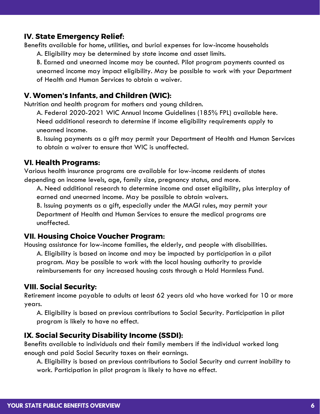#### IV. State Emergency Relief:

Benefits available for home, utilities, and burial expenses for low-income households

A. Eligibility may be determined by state income and asset limits.

A. Englohny may be determined by state income and asser minis.<br>B. Earned and unearned income may be counted. Pilot program payments counted as unearned income may impact eligibility. May be possible to work with your Department of Health and Human Services to obtain a waiver.

#### V. Women's Infants, and Children (WIC):

Nutrition and health program for mothers and young children.

A. Federal 2020-2021 WIC Annual Income Guidelines (185% FPL) available here. Need additional research to determine if income eligibility requirements apply to unearned income.

B. Issuing payments as a gift may permit your Department of Health and Human Services to obtain a waiver to ensure that WIC is unaffected.

#### VI. Health Programs:

Various health insurance programs are available for low-income residents of states depending on income levels, age, family size, pregnancy status, and more.

A. Need additional research to determine income and asset eligibility, plus interplay of earned and unearned income. May be possible to obtain waivers.

B. Issuing payments as a gift, especially under the MAGI rules, may permit your Department of Health and Human Services to ensure the medical programs are unaffected.

#### VII. Housing Choice Voucher Program:

Housing assistance for low-income families, the elderly, and people with disabilities. A. Eligibility is based on income and may be impacted by participation in a pilot program. May be possible to work with the local housing authority to provide reimbursements for any increased housing costs through a Hold Harmless Fund.

#### VIII. Social Security:

Retirement income payable to adults at least 62 years old who have worked for 10 or more years.

A. Eligibility is based on previous contributions to Social Security. Participation in pilot program is likely to have no effect.

#### IX. Social Security Disability Income (SSDI):

Benefits available to individuals and their family members if the individual worked long enough and paid Social Security taxes on their earnings.

A. Eligibility is based on previous contributions to Social Security and current inability to work. Participation in pilot program is likely to have no effect.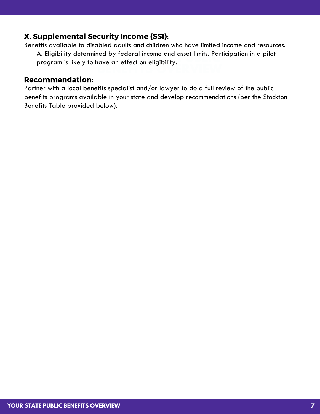#### X. Supplemental Security Income (SSI):

A. Englohny determined by rederal income and asser minis. Fart<br>program is likely to have an effect on eligibility. Benefits available to disabled adults and children who have limited income and resources. A. Eligibility determined by federal income and asset limits. Participation in a pilot

**BENEFITS OVERVIEW**

#### Recommendation:

Partner with a local benefits specialist and/or lawyer to do a full review of the public benefits programs available in your state and develop recommendations (per the Stockton Benefits Table provided below).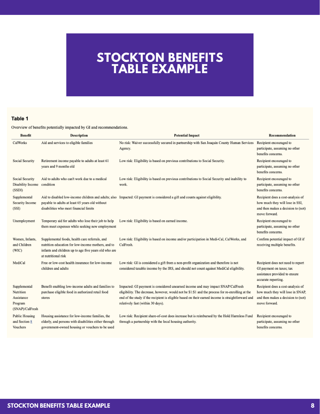### **STOCKTON BENEFITS TABLE EXAMPLE**

#### Table 1

Overview of benefits potentially impacted by GI and recommendations.

| <b>Benefit</b>                                                        | <b>Description</b>                                                                                                                                                                   | <b>Potential Impact</b>                                                                                                                                                                                                                                                                                                       | Recommendation                                                                                                               |
|-----------------------------------------------------------------------|--------------------------------------------------------------------------------------------------------------------------------------------------------------------------------------|-------------------------------------------------------------------------------------------------------------------------------------------------------------------------------------------------------------------------------------------------------------------------------------------------------------------------------|------------------------------------------------------------------------------------------------------------------------------|
| CalWorks                                                              | Aid and services to eligible families                                                                                                                                                | No risk: Waiver successfully secured in partnership with San Joaquin County Human Services<br>Agency.                                                                                                                                                                                                                         | Recipient encouraged to<br>participate, assuming no other<br>benefits concerns.                                              |
| Social Security                                                       | Retirement income payable to adults at least 61<br>years and 9 months old                                                                                                            | Low risk: Eligibility is based on previous contributions to Social Security.                                                                                                                                                                                                                                                  | Recipient encouraged to<br>participate, assuming no other<br>benefits concerns.                                              |
| Social Security<br>Disability Income<br>(SSDI)                        | Aid to adults who can't work due to a medical<br>condition                                                                                                                           | Low risk: Eligibility is based on previous contributions to Social Security and inability to<br>work.                                                                                                                                                                                                                         | Recipient encouraged to<br>participate, assuming no other<br>benefits concerns.                                              |
| Supplemental<br>Security Income<br>(SSI)                              | payable to adults at least 65 years old without<br>disabilities who meet financial limits                                                                                            | Aid to disabled low-income children and adults; also Impacted: GI payment is considered a gift and counts against eligibility.                                                                                                                                                                                                | Recipient does a cost-analysis of<br>how much they will lose in SSI,<br>and then makes a decision to (not)<br>move forward.  |
| Unemployment                                                          | Temporary aid for adults who lose their job to help<br>them meet expenses while seeking new employment                                                                               | Low risk: Eligibility is based on earned income.                                                                                                                                                                                                                                                                              | Recipient encouraged to<br>participate, assuming no other<br>benefits concerns.                                              |
| Women, Infants,<br>and Children<br>(WIC)                              | Supplemental foods, health care referrals, and<br>nutrition education for low-income mothers, and to<br>infants and children up to age five years old who are<br>at nutritional risk | Low risk: Eligibility is based on income and/or participation in Medi-Cal, CalWorks, and<br>CalFresh.                                                                                                                                                                                                                         | Confirm potential impact of GI if<br>receiving multiple benefits.                                                            |
| MediCal                                                               | Free or low-cost health insurance for low-income<br>children and adults                                                                                                              | Low risk: GI is considered a gift from a non-profit organization and therefore is not<br>considered taxable income by the IRS, and should not count against MediCal eligibility.                                                                                                                                              | Recipient does not need to report<br>GI payment on taxes; tax<br>assistance provided to ensure<br>accurate reporting.        |
| Supplemental<br>Nutrition<br>Assistance<br>Program<br>(SNAP)/CalFresh | Benefit enabling low-income adults and families to<br>purchase eligible food in authorized retail food<br>stores                                                                     | Impacted: GI payment is considered unearned income and may impact SNAP/CalFresh<br>eligibility. The decrease, however, would not be \$1:\$1 and the process for re-enrolling at the<br>end of the study if the recipient is eligible based on their earned income is straightforward and<br>relatively fast (within 30 days). | Recipient does a cost-analysis of<br>how much they will lose in SNAP,<br>and then makes a decision to (not)<br>move forward. |
| <b>Public Housing</b><br>and Section 8<br>Vouchers                    | Housing assistance for low-income families, the<br>elderly, and persons with disabilities either through<br>government-owned housing or vouchers to be used                          | Low risk: Recipient share-of-cost does increase but is reimbursed by the Hold Harmless Fund<br>through a partnership with the local housing authority.                                                                                                                                                                        | Recipient encouraged to<br>participate, assuming no other<br>benefits concerns.                                              |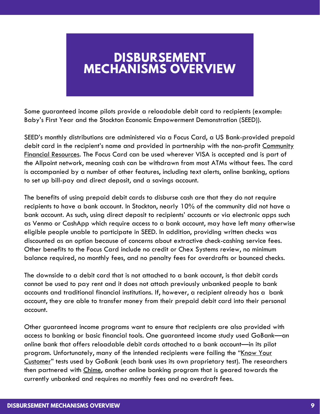## **DISBURSEMENT MECHANISMS OVERVIEW**

Some guaranteed income pilots provide a reloadable debit card to recipients (example: Baby's First Year and the Stockton Economic Empowerment Demonstration (SEED)).

SEED's monthly distributions are administered via a Focus Card, a US Bank-provided prepaid debit card in the recipient's name and provided in [partnership](https://www.communityfinancialresources.net/) with the non-profit Community Financial Resources. The Focus Card can be used wherever VISA is accepted and is part of the Allpoint network, meaning cash can be withdrawn from most ATMs without fees. The card is accompanied by a number of other features, including text alerts, online banking, options to set up bill-pay and direct deposit, and a savings account.

The benefits of using prepaid debit cards to disburse cash are that they do not require recipients to have a bank account. In Stockton, nearly 10% of the community did not have a bank account. As such, using direct deposit to recipients' accounts or via electronic apps such as Venmo or CashApp which require access to a bank account, may have left many otherwise eligible people unable to participate in SEED. In addition, providing written checks was discounted as an option because of concerns about extractive check-cashing service fees. Other benefits to the Focus Card include no credit or Chex Systems review, no minimum balance required, no monthly fees, and no penalty fees for overdrafts or bounced checks.

The downside to a debit card that is not attached to a bank account, is that debit cards cannot be used to pay rent and it does not attach previously unbanked people to bank accounts and traditional financial institutions. If, however, a recipient already has a bank account, they are able to transfer money from their prepaid debit card into their personal account.

Other guaranteed income programs want to ensure that recipients are also provided with access to banking or basic financial tools. One guaranteed income study used GoBank—an online bank that offers reloadable debit cards attached to a bank account—in its pilot program. [Unfortunately,](https://corpgov.law.harvard.edu/2016/02/07/fincen-know-your-customer-requirements/) many of the intended recipients were failing the "Know Your Customer" tests used by GoBank (each bank uses its own proprietary test). The researchers then partnered with [Chime](https://www.chime.com/), another online banking program that is geared towards the currently unbanked and requires no monthly fees and no overdraft fees.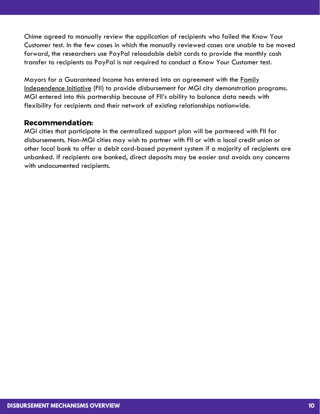Chime agreed to manually review the application of recipients who failed the Know Your Customer test. In the few cases in which the manually reviewed cases are unable to be moved forward, the researchers use PayPal reloadable debit cards to provide the monthly cash transfer to recipients as PayPal is not required to conduct a Know Your Customer test.

Mayors for a Guaranteed Income has entered into an agreement with the Family [Independence](http://fii.org/) Initiative (FII) to provide disbursement for MGI city demonstration programs. MGI entered into this partnership because of FII's ability to balance data needs with flexibility for recipients and their network of existing relationships nationwide.

#### Recommendation:

MGI cities that participate in the centralized support plan will be partnered with FII for disbursements. Non-MGI cities may wish to partner with FII or with a local credit union or other local bank to offer a debit card-based payment system if a majority of recipients are unbanked. If recipients are banked, direct deposits may be easier and avoids any concerns with undocumented recipients.